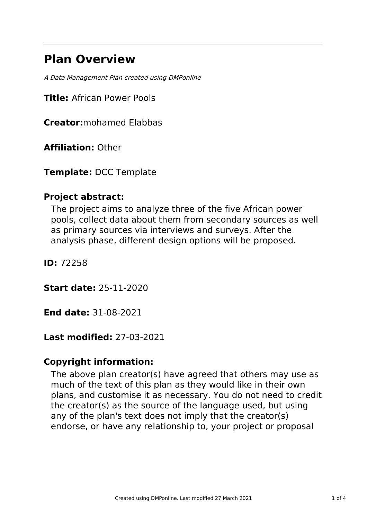# **Plan Overview**

A Data Management Plan created using DMPonline

**Title:** African Power Pools

**Creator:**mohamed Elabbas

**Affiliation:** Other

**Template:** DCC Template

# **Project abstract:**

The project aims to analyze three of the five African power pools, collect data about them from secondary sources as well as primary sources via interviews and surveys. After the analysis phase, different design options will be proposed.

**ID:** 72258

**Start date:** 25-11-2020

**End date:** 31-08-2021

### **Last modified:** 27-03-2021

# **Copyright information:**

The above plan creator(s) have agreed that others may use as much of the text of this plan as they would like in their own plans, and customise it as necessary. You do not need to credit the creator(s) as the source of the language used, but using any of the plan's text does not imply that the creator(s) endorse, or have any relationship to, your project or proposal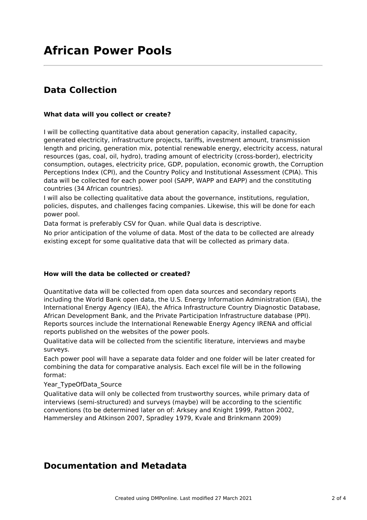# **Data Collection**

### **What data will you collect or create?**

I will be collecting quantitative data about generation capacity, installed capacity, generated electricity, infrastructure projects, tariffs, investment amount, transmission length and pricing, generation mix, potential renewable energy, electricity access, natural resources (gas, coal, oil, hydro), trading amount of electricity (cross-border), electricity consumption, outages, electricity price, GDP, population, economic growth, the Corruption Perceptions Index (CPI), and the Country Policy and Institutional Assessment (CPIA). This data will be collected for each power pool (SAPP, WAPP and EAPP) and the constituting countries (34 African countries).

I will also be collecting qualitative data about the governance, institutions, regulation, policies, disputes, and challenges facing companies. Likewise, this will be done for each power pool.

Data format is preferably CSV for Quan. while Qual data is descriptive.

No prior anticipation of the volume of data. Most of the data to be collected are already existing except for some qualitative data that will be collected as primary data.

### **How will the data be collected or created?**

Quantitative data will be collected from open data sources and secondary reports including the World Bank open data, the U.S. Energy Information Administration (EIA), the International Energy Agency (IEA), the Africa Infrastructure Country Diagnostic Database, African Development Bank, and the Private Participation Infrastructure database (PPI). Reports sources include the International Renewable Energy Agency IRENA and official reports published on the websites of the power pools.

Qualitative data will be collected from the scientific literature, interviews and maybe surveys.

Each power pool will have a separate data folder and one folder will be later created for combining the data for comparative analysis. Each excel file will be in the following format:

### Year TypeOfData Source

Qualitative data will only be collected from trustworthy sources, while primary data of interviews (semi-structured) and surveys (maybe) will be according to the scientific conventions (to be determined later on of: Arksey and Knight 1999, Patton 2002, Hammersley and Atkinson 2007, Spradley 1979, Kvale and Brinkmann 2009)

### **Documentation and Metadata**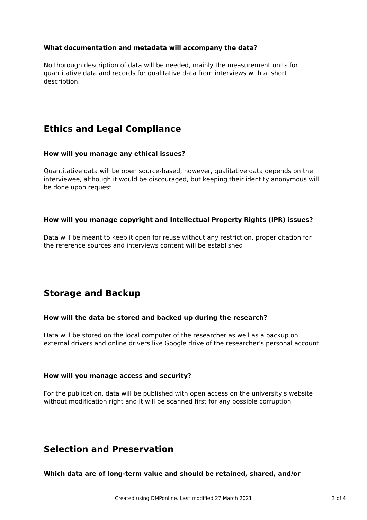### **What documentation and metadata will accompany the data?**

No thorough description of data will be needed, mainly the measurement units for quantitative data and records for qualitative data from interviews with a short description.

# **Ethics and Legal Compliance**

### **How will you manage any ethical issues?**

Quantitative data will be open source-based, however, qualitative data depends on the interviewee, although it would be discouraged, but keeping their identity anonymous will be done upon request

### **How will you manage copyright and Intellectual Property Rights (IPR) issues?**

Data will be meant to keep it open for reuse without any restriction, proper citation for the reference sources and interviews content will be established

### **Storage and Backup**

### **How will the data be stored and backed up during the research?**

Data will be stored on the local computer of the researcher as well as a backup on external drivers and online drivers like Google drive of the researcher's personal account.

### **How will you manage access and security?**

For the publication, data will be published with open access on the university's website without modification right and it will be scanned first for any possible corruption

### **Selection and Preservation**

**Which data are of long-term value and should be retained, shared, and/or**